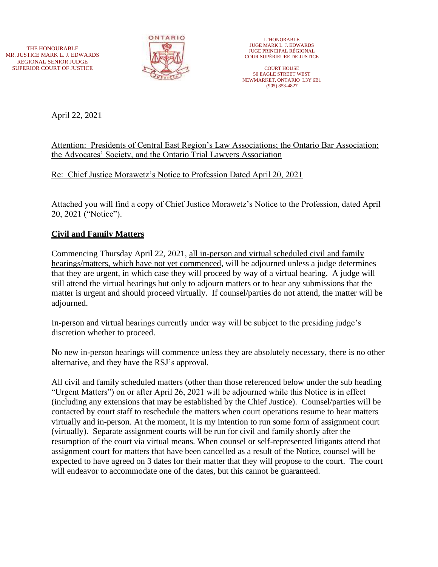THE HONOURABLE MR. JUSTICE MARK L. J. EDWARDS REGIONAL SENIOR JUDGE SUPERIOR COURT OF JUSTICE



L'HONORABLE JUGE MARK L. J. EDWARDS JUGE PRINCIPAL RÉGIONAL COUR SUPÉRIEURE DE JUSTICE

COURT HOUSE 50 EAGLE STREET WEST NEWMARKET, ONTARIO L3Y 6B1 (905) 853-4827

April 22, 2021

## Attention: Presidents of Central East Region's Law Associations; the Ontario Bar Association; the Advocates' Society, and the Ontario Trial Lawyers Association

Re: Chief Justice Morawetz's Notice to Profession Dated April 20, 2021

Attached you will find a copy of Chief Justice Morawetz's Notice to the Profession, dated April 20, 2021 ("Notice").

## **Civil and Family Matters**

Commencing Thursday April 22, 2021, all in-person and virtual scheduled civil and family hearings/matters, which have not yet commenced, will be adjourned unless a judge determines that they are urgent, in which case they will proceed by way of a virtual hearing. A judge will still attend the virtual hearings but only to adjourn matters or to hear any submissions that the matter is urgent and should proceed virtually. If counsel/parties do not attend, the matter will be adjourned.

In-person and virtual hearings currently under way will be subject to the presiding judge's discretion whether to proceed.

No new in-person hearings will commence unless they are absolutely necessary, there is no other alternative, and they have the RSJ's approval.

All civil and family scheduled matters (other than those referenced below under the sub heading "Urgent Matters") on or after April 26, 2021 will be adjourned while this Notice is in effect (including any extensions that may be established by the Chief Justice). Counsel/parties will be contacted by court staff to reschedule the matters when court operations resume to hear matters virtually and in-person. At the moment, it is my intention to run some form of assignment court (virtually). Separate assignment courts will be run for civil and family shortly after the resumption of the court via virtual means. When counsel or self-represented litigants attend that assignment court for matters that have been cancelled as a result of the Notice, counsel will be expected to have agreed on 3 dates for their matter that they will propose to the court. The court will endeavor to accommodate one of the dates, but this cannot be guaranteed.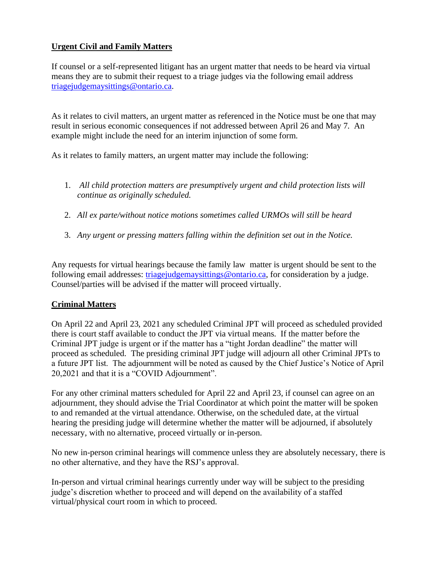## **Urgent Civil and Family Matters**

If counsel or a self-represented litigant has an urgent matter that needs to be heard via virtual means they are to submit their request to a triage judges via the following email address [triagejudgemaysittings@ontario.ca.](mailto:triagejudgemaysittings@ontario.ca)

As it relates to civil matters, an urgent matter as referenced in the Notice must be one that may result in serious economic consequences if not addressed between April 26 and May 7. An example might include the need for an interim injunction of some form.

As it relates to family matters, an urgent matter may include the following:

- 1. *All child protection matters are presumptively urgent and child protection lists will continue as originally scheduled.*
- 2. *All ex parte/without notice motions sometimes called URMOs will still be heard*
- 3. *Any urgent or pressing matters falling within the definition set out in the Notice.*

Any requests for virtual hearings because the family law matter is urgent should be sent to the following email addresses: [triagejudgemaysittings@ontario.ca,](mailto:triagejudgemaysittings@ontario.ca) for consideration by a judge. Counsel/parties will be advised if the matter will proceed virtually.

# **Criminal Matters**

On April 22 and April 23, 2021 any scheduled Criminal JPT will proceed as scheduled provided there is court staff available to conduct the JPT via virtual means. If the matter before the Criminal JPT judge is urgent or if the matter has a "tight Jordan deadline" the matter will proceed as scheduled. The presiding criminal JPT judge will adjourn all other Criminal JPTs to a future JPT list. The adjournment will be noted as caused by the Chief Justice's Notice of April 20,2021 and that it is a "COVID Adjournment".

For any other criminal matters scheduled for April 22 and April 23, if counsel can agree on an adjournment, they should advise the Trial Coordinator at which point the matter will be spoken to and remanded at the virtual attendance. Otherwise, on the scheduled date, at the virtual hearing the presiding judge will determine whether the matter will be adjourned, if absolutely necessary, with no alternative, proceed virtually or in-person.

No new in-person criminal hearings will commence unless they are absolutely necessary, there is no other alternative, and they have the RSJ's approval.

In-person and virtual criminal hearings currently under way will be subject to the presiding judge's discretion whether to proceed and will depend on the availability of a staffed virtual/physical court room in which to proceed.